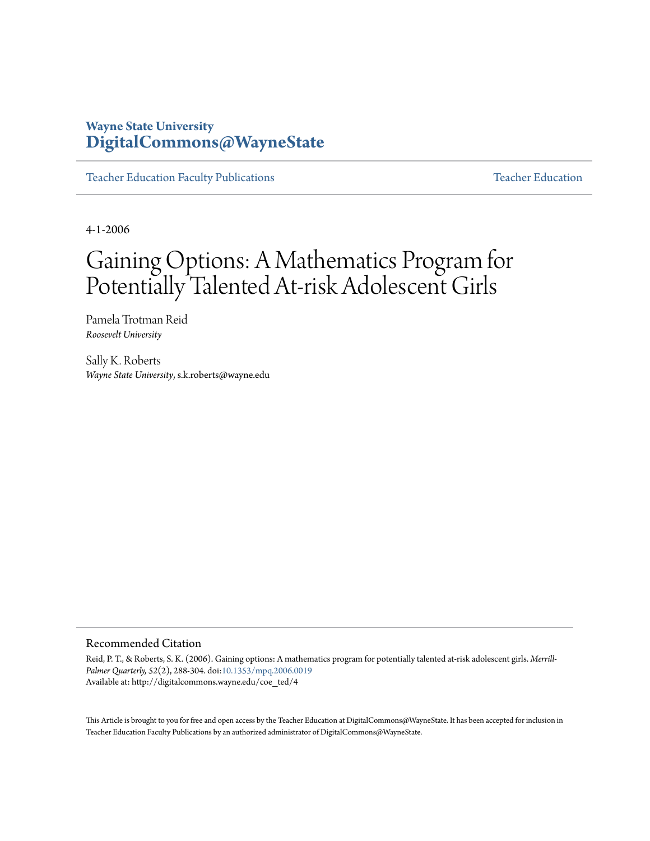# **Wayne State University [DigitalCommons@WayneState](http://digitalcommons.wayne.edu)**

[Teacher Education Faculty Publications](http://digitalcommons.wayne.edu/coe_ted) [Teacher Education](http://digitalcommons.wayne.edu/ted) Teacher Education

4-1-2006

# Gaining Options: A Mathematics Program for Potentially Talented At-risk Adolescent Girls

Pamela Trotman Reid *Roosevelt University*

Sally K. Roberts *Wayne State University*, s.k.roberts@wayne.edu

#### Recommended Citation

Reid, P. T., & Roberts, S. K. (2006). Gaining options: A mathematics program for potentially talented at-risk adolescent girls. *Merrill-Palmer Quarterly, 52*(2), 288-304. doi[:10.1353/mpq.2006.0019](http://dx.doi.org/10.1353/mpq.2006.0019) Available at: http://digitalcommons.wayne.edu/coe\_ted/4

This Article is brought to you for free and open access by the Teacher Education at DigitalCommons@WayneState. It has been accepted for inclusion in Teacher Education Faculty Publications by an authorized administrator of DigitalCommons@WayneState.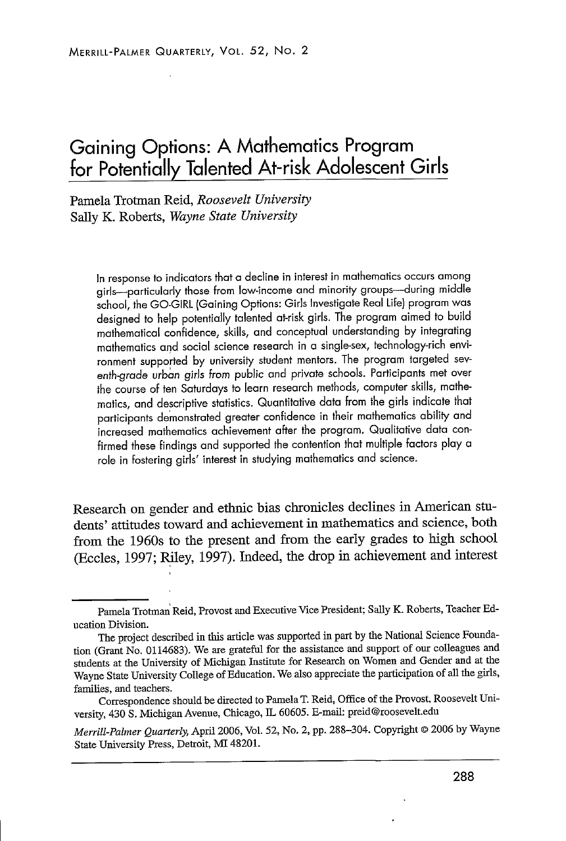# Gaining Options: A Mathematics Program for Potentially Talented At-risk Adolescent Girls

Pamela Trotman Reid, *Roosevelt University* Sally K. Roberts, *Wayne State University*

> In response to indicators that a decline in interest in mathematics occurs among girls-particularly those from low-income and minority groups--during middle school, the GO-GIRL (Gaining Options: Girls Investigate Real Life) program was designed to help potentially talented at-risk girls. The program aimed to build mathematical confidence, skills, and conceptual understanding by integrating mathematics and social science research in a single-sex, technology-rich environment supported by university student mentors. The program targeted seventh-grade urban girls from public and private schools. Participants met over the course of ten Saturdays to learn research methods, computer skills, mathematics, and descriptive statistics. Quantitative data from the girls indicate that participants demonstrated greater confidence in their mathematics ability and increased mathematics achievement after the program. Qualitative data confirmed these findings and supported the contention that multiple factors play a role in fostering girls' interest in studying mathematics and science.

Research on gender and ethnic bias chronicles declines in American students' attitudes toward and achievement in mathematics and science, both from the 1960s to the present and from the early grades to high school (Eccles, 1997; Riley, 1997). Indeed, the drop in achievement and interest

Pamela Trotman Reid, Provost and Executive Vice President; Sally K. Roberts, Teacher Education Division.

The project described in this article was supported in part by the National Science Foundation (Grant No. 0114683). We are grateful for the assistance and support of our colleagues and students at the University of Michigan Institute for Research on Women and Gender and at the Wayne State University College of Education. We also appreciate the participation of all the girls, families, and teachers.

Correspondence should be directed to Pamela T. Reid, Office of the Provost, Roosevelt University, 430 S. Michigan Avenue, Chicago, IL 60605. E-mail: preid@roosevelt.edu

*Merrill-Palmer Quarterly,* April 2006, Vol. 52, No. 2, pp. 288-304. Copyright © 2006 by Wayne State University Press, Detroit, Ml 48201.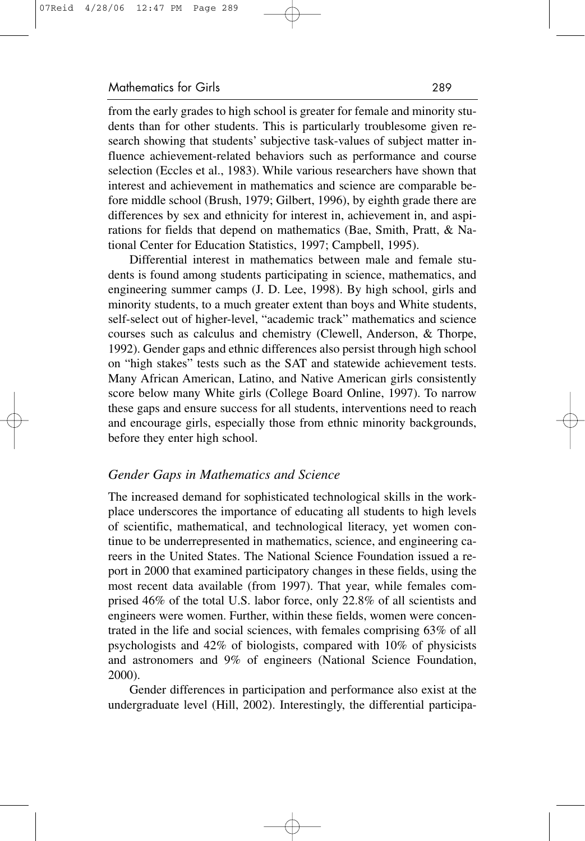from the early grades to high school is greater for female and minority students than for other students. This is particularly troublesome given research showing that students' subjective task-values of subject matter influence achievement-related behaviors such as performance and course selection (Eccles et al., 1983). While various researchers have shown that interest and achievement in mathematics and science are comparable before middle school (Brush, 1979; Gilbert, 1996), by eighth grade there are differences by sex and ethnicity for interest in, achievement in, and aspirations for fields that depend on mathematics (Bae, Smith, Pratt, & National Center for Education Statistics, 1997; Campbell, 1995).

Differential interest in mathematics between male and female students is found among students participating in science, mathematics, and engineering summer camps (J. D. Lee, 1998). By high school, girls and minority students, to a much greater extent than boys and White students, self-select out of higher-level, "academic track" mathematics and science courses such as calculus and chemistry (Clewell, Anderson, & Thorpe, 1992). Gender gaps and ethnic differences also persist through high school on "high stakes" tests such as the SAT and statewide achievement tests. Many African American, Latino, and Native American girls consistently score below many White girls (College Board Online, 1997). To narrow these gaps and ensure success for all students, interventions need to reach and encourage girls, especially those from ethnic minority backgrounds, before they enter high school.

#### *Gender Gaps in Mathematics and Science*

The increased demand for sophisticated technological skills in the workplace underscores the importance of educating all students to high levels of scientific, mathematical, and technological literacy, yet women continue to be underrepresented in mathematics, science, and engineering careers in the United States. The National Science Foundation issued a report in 2000 that examined participatory changes in these fields, using the most recent data available (from 1997). That year, while females comprised 46% of the total U.S. labor force, only 22.8% of all scientists and engineers were women. Further, within these fields, women were concentrated in the life and social sciences, with females comprising 63% of all psychologists and 42% of biologists, compared with 10% of physicists and astronomers and 9% of engineers (National Science Foundation, 2000).

Gender differences in participation and performance also exist at the undergraduate level (Hill, 2002). Interestingly, the differential participa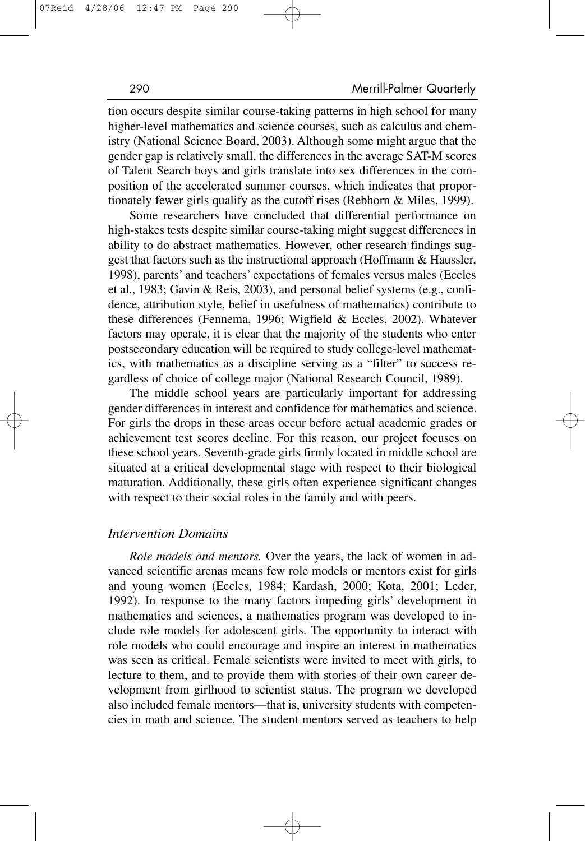tion occurs despite similar course-taking patterns in high school for many higher-level mathematics and science courses, such as calculus and chemistry (National Science Board, 2003). Although some might argue that the gender gap is relatively small, the differences in the average SAT-M scores of Talent Search boys and girls translate into sex differences in the composition of the accelerated summer courses, which indicates that proportionately fewer girls qualify as the cutoff rises (Rebhorn & Miles, 1999).

Some researchers have concluded that differential performance on high-stakes tests despite similar course-taking might suggest differences in ability to do abstract mathematics. However, other research findings suggest that factors such as the instructional approach (Hoffmann & Haussler, 1998), parents' and teachers' expectations of females versus males (Eccles et al., 1983; Gavin & Reis, 2003), and personal belief systems (e.g., confidence, attribution style, belief in usefulness of mathematics) contribute to these differences (Fennema, 1996; Wigfield & Eccles, 2002). Whatever factors may operate, it is clear that the majority of the students who enter postsecondary education will be required to study college-level mathematics, with mathematics as a discipline serving as a "filter" to success regardless of choice of college major (National Research Council, 1989).

The middle school years are particularly important for addressing gender differences in interest and confidence for mathematics and science. For girls the drops in these areas occur before actual academic grades or achievement test scores decline. For this reason, our project focuses on these school years. Seventh-grade girls firmly located in middle school are situated at a critical developmental stage with respect to their biological maturation. Additionally, these girls often experience significant changes with respect to their social roles in the family and with peers.

#### *Intervention Domains*

*Role models and mentors.* Over the years, the lack of women in advanced scientific arenas means few role models or mentors exist for girls and young women (Eccles, 1984; Kardash, 2000; Kota, 2001; Leder, 1992). In response to the many factors impeding girls' development in mathematics and sciences, a mathematics program was developed to include role models for adolescent girls. The opportunity to interact with role models who could encourage and inspire an interest in mathematics was seen as critical. Female scientists were invited to meet with girls, to lecture to them, and to provide them with stories of their own career development from girlhood to scientist status. The program we developed also included female mentors—that is, university students with competencies in math and science. The student mentors served as teachers to help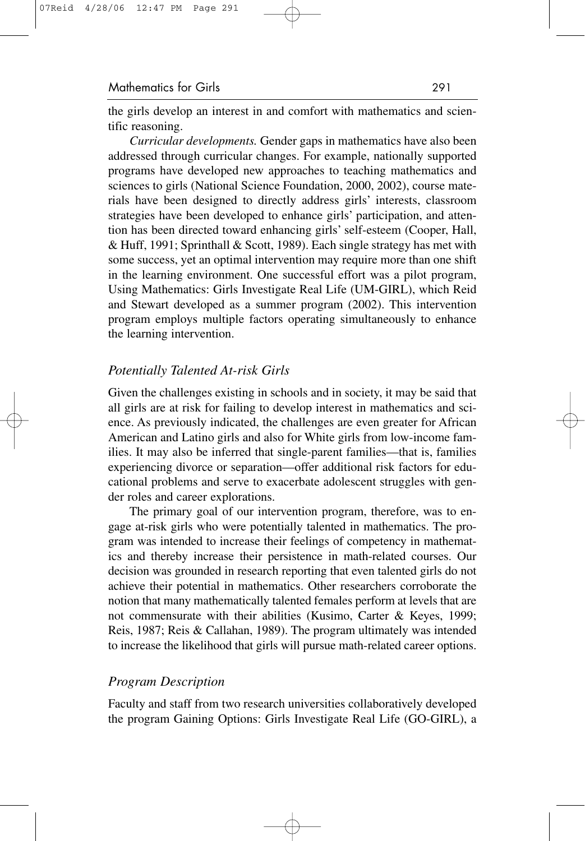the girls develop an interest in and comfort with mathematics and scientific reasoning.

*Curricular developments.* Gender gaps in mathematics have also been addressed through curricular changes. For example, nationally supported programs have developed new approaches to teaching mathematics and sciences to girls (National Science Foundation, 2000, 2002), course materials have been designed to directly address girls' interests, classroom strategies have been developed to enhance girls' participation, and attention has been directed toward enhancing girls' self-esteem (Cooper, Hall, & Huff, 1991; Sprinthall & Scott, 1989). Each single strategy has met with some success, yet an optimal intervention may require more than one shift in the learning environment. One successful effort was a pilot program, Using Mathematics: Girls Investigate Real Life (UM-GIRL), which Reid and Stewart developed as a summer program (2002). This intervention program employs multiple factors operating simultaneously to enhance the learning intervention.

# *Potentially Talented At-risk Girls*

Given the challenges existing in schools and in society, it may be said that all girls are at risk for failing to develop interest in mathematics and science. As previously indicated, the challenges are even greater for African American and Latino girls and also for White girls from low-income families. It may also be inferred that single-parent families—that is, families experiencing divorce or separation—offer additional risk factors for educational problems and serve to exacerbate adolescent struggles with gender roles and career explorations.

The primary goal of our intervention program, therefore, was to engage at-risk girls who were potentially talented in mathematics. The program was intended to increase their feelings of competency in mathematics and thereby increase their persistence in math-related courses. Our decision was grounded in research reporting that even talented girls do not achieve their potential in mathematics. Other researchers corroborate the notion that many mathematically talented females perform at levels that are not commensurate with their abilities (Kusimo, Carter & Keyes, 1999; Reis, 1987; Reis & Callahan, 1989). The program ultimately was intended to increase the likelihood that girls will pursue math-related career options.

# *Program Description*

Faculty and staff from two research universities collaboratively developed the program Gaining Options: Girls Investigate Real Life (GO-GIRL), a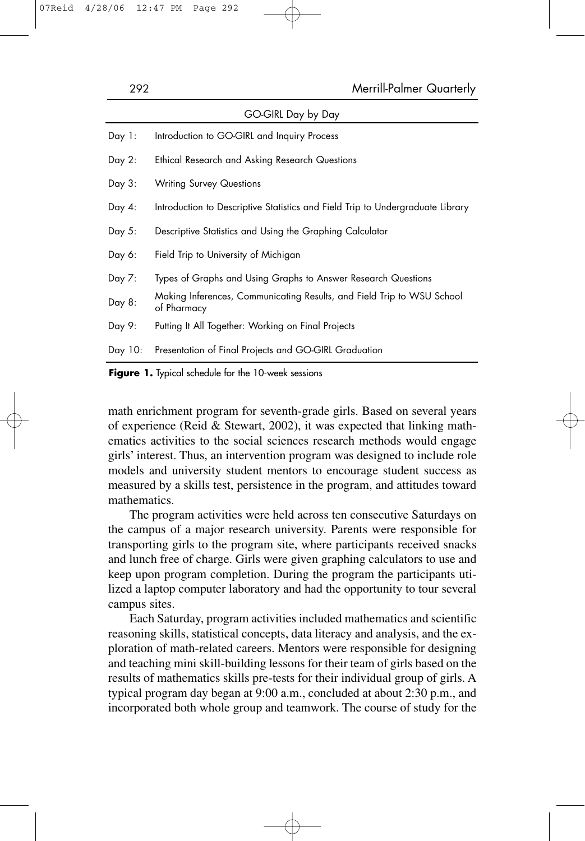|           | GO-GIRL Day by Day                                                                    |
|-----------|---------------------------------------------------------------------------------------|
| Day $1:$  | Introduction to GO-GIRL and Inquiry Process                                           |
| Day $2$ : | <b>Ethical Research and Asking Research Questions</b>                                 |
| Day $3:$  | <b>Writing Survey Questions</b>                                                       |
| Day 4:    | Introduction to Descriptive Statistics and Field Trip to Undergraduate Library        |
| Day $5:$  | Descriptive Statistics and Using the Graphing Calculator                              |
| Day 6:    | Field Trip to University of Michigan                                                  |
| Day $7:$  | Types of Graphs and Using Graphs to Answer Research Questions                         |
| Day 8:    | Making Inferences, Communicating Results, and Field Trip to WSU School<br>of Pharmacy |
| Day 9:    | Putting It All Together: Working on Final Projects                                    |
| Day 10:   | Presentation of Final Projects and GO-GIRL Graduation                                 |

**Figure 1.** Typical schedule for the 10-week sessions

math enrichment program for seventh-grade girls. Based on several years of experience (Reid & Stewart, 2002), it was expected that linking mathematics activities to the social sciences research methods would engage girls' interest. Thus, an intervention program was designed to include role models and university student mentors to encourage student success as measured by a skills test, persistence in the program, and attitudes toward mathematics.

The program activities were held across ten consecutive Saturdays on the campus of a major research university. Parents were responsible for transporting girls to the program site, where participants received snacks and lunch free of charge. Girls were given graphing calculators to use and keep upon program completion. During the program the participants utilized a laptop computer laboratory and had the opportunity to tour several campus sites.

Each Saturday, program activities included mathematics and scientific reasoning skills, statistical concepts, data literacy and analysis, and the exploration of math-related careers. Mentors were responsible for designing and teaching mini skill-building lessons for their team of girls based on the results of mathematics skills pre-tests for their individual group of girls. A typical program day began at 9:00 a.m., concluded at about 2:30 p.m., and incorporated both whole group and teamwork. The course of study for the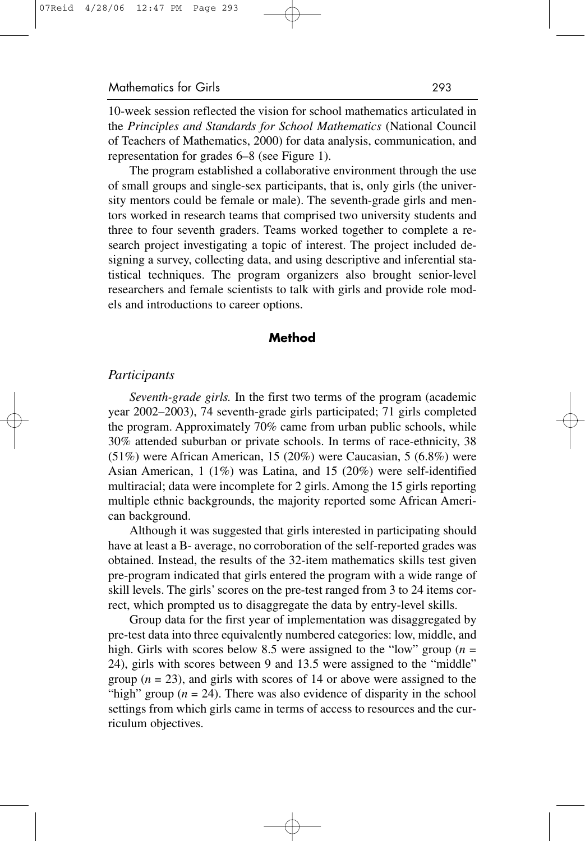10-week session reflected the vision for school mathematics articulated in the *Principles and Standards for School Mathematics* (National Council of Teachers of Mathematics, 2000) for data analysis, communication, and representation for grades 6–8 (see Figure 1).

The program established a collaborative environment through the use of small groups and single-sex participants, that is, only girls (the university mentors could be female or male). The seventh-grade girls and mentors worked in research teams that comprised two university students and three to four seventh graders. Teams worked together to complete a research project investigating a topic of interest. The project included designing a survey, collecting data, and using descriptive and inferential statistical techniques. The program organizers also brought senior-level researchers and female scientists to talk with girls and provide role models and introductions to career options.

#### **Method**

#### *Participants*

*Seventh-grade girls.* In the first two terms of the program (academic year 2002–2003), 74 seventh-grade girls participated; 71 girls completed the program. Approximately 70% came from urban public schools, while 30% attended suburban or private schools. In terms of race-ethnicity, 38 (51%) were African American, 15 (20%) were Caucasian, 5 (6.8%) were Asian American, 1 (1%) was Latina, and 15 (20%) were self-identified multiracial; data were incomplete for 2 girls. Among the 15 girls reporting multiple ethnic backgrounds, the majority reported some African American background.

Although it was suggested that girls interested in participating should have at least a B- average, no corroboration of the self-reported grades was obtained. Instead, the results of the 32-item mathematics skills test given pre-program indicated that girls entered the program with a wide range of skill levels. The girls'scores on the pre-test ranged from 3 to 24 items correct, which prompted us to disaggregate the data by entry-level skills.

Group data for the first year of implementation was disaggregated by pre-test data into three equivalently numbered categories: low, middle, and high. Girls with scores below 8.5 were assigned to the "low" group (*n* = 24), girls with scores between 9 and 13.5 were assigned to the "middle" group  $(n = 23)$ , and girls with scores of 14 or above were assigned to the "high" group  $(n = 24)$ . There was also evidence of disparity in the school settings from which girls came in terms of access to resources and the curriculum objectives.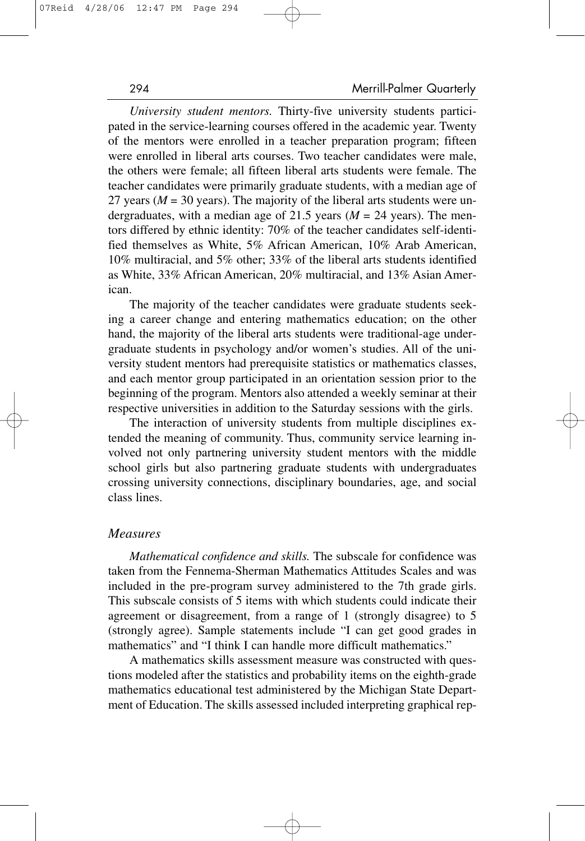*University student mentors.* Thirty-five university students participated in the service-learning courses offered in the academic year. Twenty of the mentors were enrolled in a teacher preparation program; fifteen were enrolled in liberal arts courses. Two teacher candidates were male, the others were female; all fifteen liberal arts students were female. The teacher candidates were primarily graduate students, with a median age of 27 years ( $M = 30$  years). The majority of the liberal arts students were undergraduates, with a median age of 21.5 years  $(M = 24$  years). The mentors differed by ethnic identity: 70% of the teacher candidates self-identified themselves as White, 5% African American, 10% Arab American, 10% multiracial, and 5% other; 33% of the liberal arts students identified as White, 33% African American, 20% multiracial, and 13% Asian American.

The majority of the teacher candidates were graduate students seeking a career change and entering mathematics education; on the other hand, the majority of the liberal arts students were traditional-age undergraduate students in psychology and/or women's studies. All of the university student mentors had prerequisite statistics or mathematics classes, and each mentor group participated in an orientation session prior to the beginning of the program. Mentors also attended a weekly seminar at their respective universities in addition to the Saturday sessions with the girls.

The interaction of university students from multiple disciplines extended the meaning of community. Thus, community service learning involved not only partnering university student mentors with the middle school girls but also partnering graduate students with undergraduates crossing university connections, disciplinary boundaries, age, and social class lines.

#### *Measures*

*Mathematical confidence and skills.* The subscale for confidence was taken from the Fennema-Sherman Mathematics Attitudes Scales and was included in the pre-program survey administered to the 7th grade girls. This subscale consists of 5 items with which students could indicate their agreement or disagreement, from a range of 1 (strongly disagree) to 5 (strongly agree). Sample statements include "I can get good grades in mathematics" and "I think I can handle more difficult mathematics."

A mathematics skills assessment measure was constructed with questions modeled after the statistics and probability items on the eighth-grade mathematics educational test administered by the Michigan State Department of Education. The skills assessed included interpreting graphical rep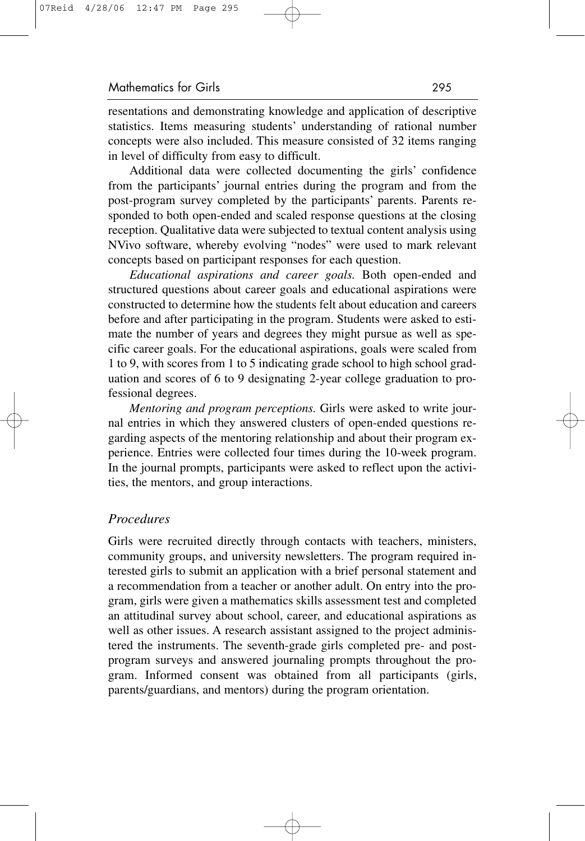resentations and demonstrating knowledge and application of descriptive statistics. Items measuring students' understanding of rational number concepts were also included. This measure consisted of 32 items ranging in level of difficulty from easy to difficult.

Additional data were collected documenting the girls' confidence from the participants' journal entries during the program and from the post-program survey completed by the participants' parents. Parents responded to both open-ended and scaled response questions at the closing reception. Qualitative data were subjected to textual content analysis using NVivo software, whereby evolving "nodes" were used to mark relevant concepts based on participant responses for each question.

*Educational aspirations and career goals.* Both open-ended and structured questions about career goals and educational aspirations were constructed to determine how the students felt about education and careers before and after participating in the program. Students were asked to estimate the number of years and degrees they might pursue as well as specific career goals. For the educational aspirations, goals were scaled from 1 to 9, with scores from 1 to 5 indicating grade school to high school graduation and scores of 6 to 9 designating 2-year college graduation to professional degrees.

*Mentoring and program perceptions.* Girls were asked to write journal entries in which they answered clusters of open-ended questions regarding aspects of the mentoring relationship and about their program experience. Entries were collected four times during the 10-week program. In the journal prompts, participants were asked to reflect upon the activities, the mentors, and group interactions.

# *Procedures*

Girls were recruited directly through contacts with teachers, ministers, community groups, and university newsletters. The program required interested girls to submit an application with a brief personal statement and a recommendation from a teacher or another adult. On entry into the program, girls were given a mathematics skills assessment test and completed an attitudinal survey about school, career, and educational aspirations as well as other issues. A research assistant assigned to the project administered the instruments. The seventh-grade girls completed pre- and postprogram surveys and answered journaling prompts throughout the program. Informed consent was obtained from all participants (girls, parents/guardians, and mentors) during the program orientation.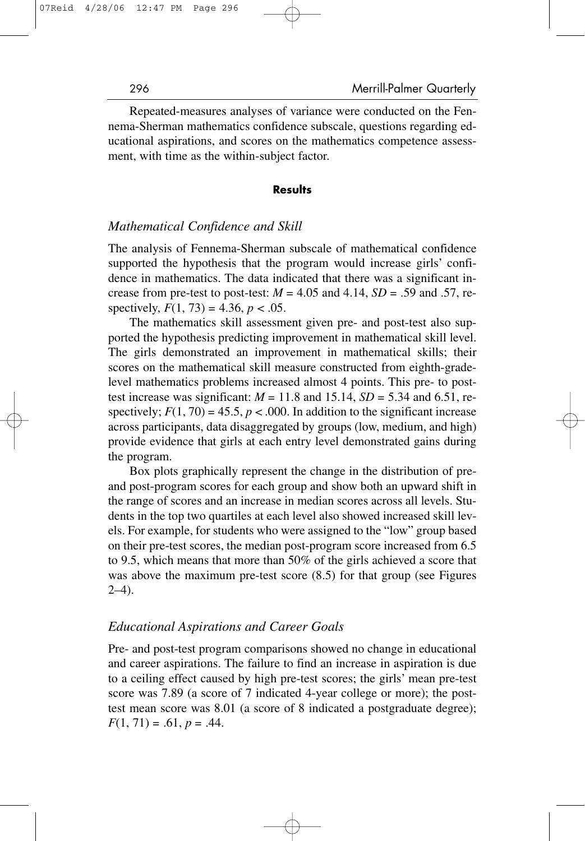Repeated-measures analyses of variance were conducted on the Fennema-Sherman mathematics confidence subscale, questions regarding educational aspirations, and scores on the mathematics competence assessment, with time as the within-subject factor.

#### **Results**

#### *Mathematical Confidence and Skill*

The analysis of Fennema-Sherman subscale of mathematical confidence supported the hypothesis that the program would increase girls' confidence in mathematics. The data indicated that there was a significant increase from pre-test to post-test:  $M = 4.05$  and  $4.14$ ,  $SD = .59$  and  $.57$ , respectively,  $F(1, 73) = 4.36$ ,  $p < .05$ .

The mathematics skill assessment given pre- and post-test also supported the hypothesis predicting improvement in mathematical skill level. The girls demonstrated an improvement in mathematical skills; their scores on the mathematical skill measure constructed from eighth-gradelevel mathematics problems increased almost 4 points. This pre- to posttest increase was significant:  $M = 11.8$  and  $15.14$ ,  $SD = 5.34$  and  $6.51$ , respectively;  $F(1, 70) = 45.5$ ,  $p < .000$ . In addition to the significant increase across participants, data disaggregated by groups (low, medium, and high) provide evidence that girls at each entry level demonstrated gains during the program.

Box plots graphically represent the change in the distribution of preand post-program scores for each group and show both an upward shift in the range of scores and an increase in median scores across all levels. Students in the top two quartiles at each level also showed increased skill levels. For example, for students who were assigned to the "low" group based on their pre-test scores, the median post-program score increased from 6.5 to 9.5, which means that more than 50% of the girls achieved a score that was above the maximum pre-test score  $(8.5)$  for that group (see Figures  $2-4$ ).

#### *Educational Aspirations and Career Goals*

Pre- and post-test program comparisons showed no change in educational and career aspirations. The failure to find an increase in aspiration is due to a ceiling effect caused by high pre-test scores; the girls' mean pre-test score was 7.89 (a score of 7 indicated 4-year college or more); the posttest mean score was 8.01 (a score of 8 indicated a postgraduate degree);  $F(1, 71) = .61, p = .44.$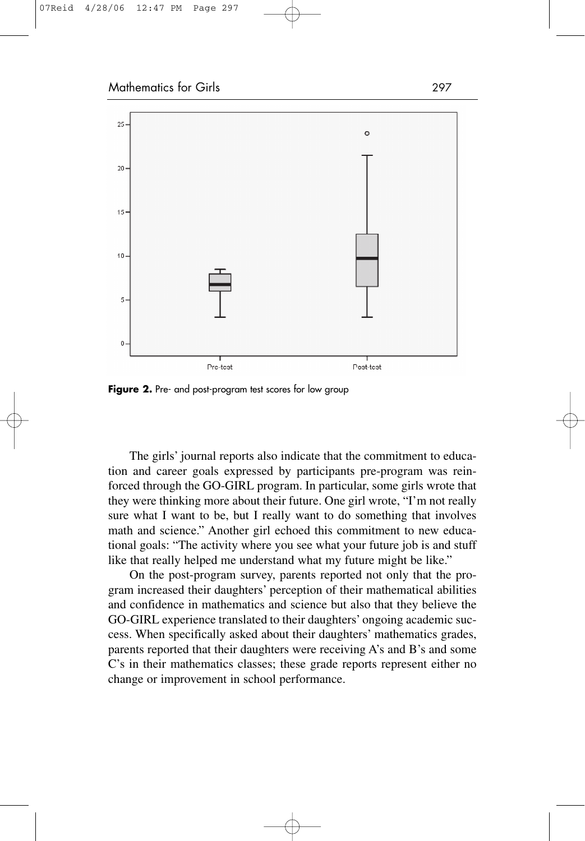

**Figure 2.** Pre- and post-program test scores for low group

The girls' journal reports also indicate that the commitment to education and career goals expressed by participants pre-program was reinforced through the GO-GIRL program. In particular, some girls wrote that they were thinking more about their future. One girl wrote, "I'm not really sure what I want to be, but I really want to do something that involves math and science." Another girl echoed this commitment to new educational goals: "The activity where you see what your future job is and stuff like that really helped me understand what my future might be like."

On the post-program survey, parents reported not only that the program increased their daughters' perception of their mathematical abilities and confidence in mathematics and science but also that they believe the GO-GIRL experience translated to their daughters' ongoing academic success. When specifically asked about their daughters' mathematics grades, parents reported that their daughters were receiving A's and B's and some C's in their mathematics classes; these grade reports represent either no change or improvement in school performance.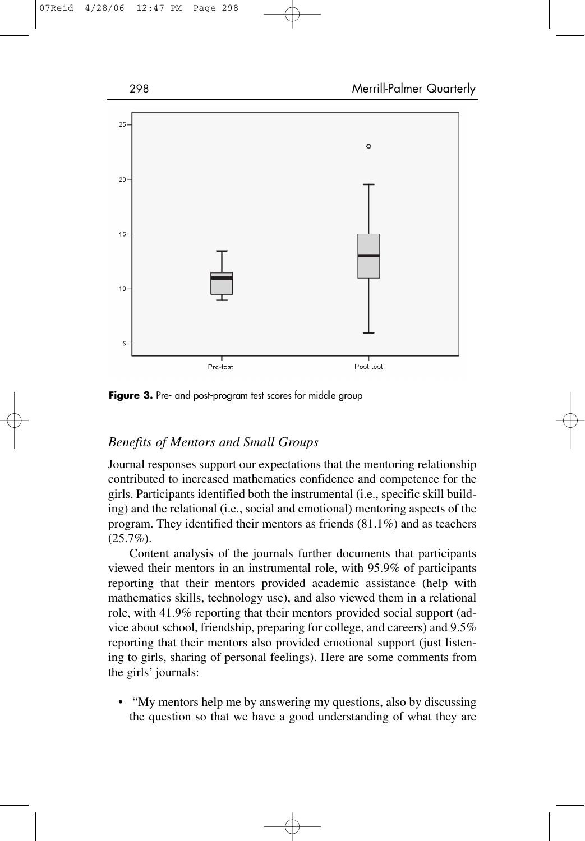

**Figure 3.** Pre- and post-program test scores for middle group

## *Benefits of Mentors and Small Groups*

Journal responses support our expectations that the mentoring relationship contributed to increased mathematics confidence and competence for the girls. Participants identified both the instrumental (i.e., specific skill building) and the relational (i.e., social and emotional) mentoring aspects of the program. They identified their mentors as friends (81.1%) and as teachers  $(25.7\%)$ .

Content analysis of the journals further documents that participants viewed their mentors in an instrumental role, with 95.9% of participants reporting that their mentors provided academic assistance (help with mathematics skills, technology use), and also viewed them in a relational role, with 41.9% reporting that their mentors provided social support (advice about school, friendship, preparing for college, and careers) and 9.5% reporting that their mentors also provided emotional support (just listening to girls, sharing of personal feelings). Here are some comments from the girls' journals:

• "My mentors help me by answering my questions, also by discussing the question so that we have a good understanding of what they are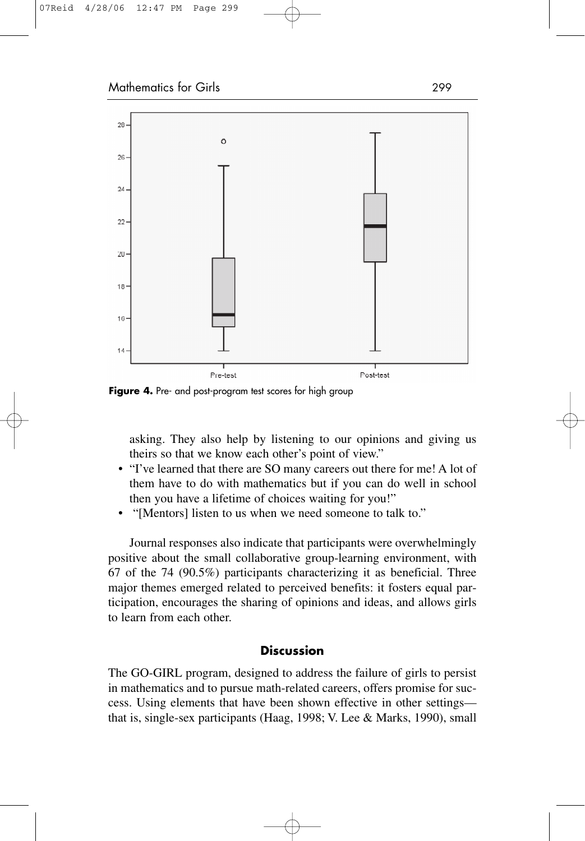

Figure 4. Pre- and post-program test scores for high group

asking. They also help by listening to our opinions and giving us theirs so that we know each other's point of view."

- "I've learned that there are SO many careers out there for me! A lot of them have to do with mathematics but if you can do well in school then you have a lifetime of choices waiting for you!"
- "[Mentors] listen to us when we need someone to talk to."

Journal responses also indicate that participants were overwhelmingly positive about the small collaborative group-learning environment, with 67 of the 74 (90.5%) participants characterizing it as beneficial. Three major themes emerged related to perceived benefits: it fosters equal participation, encourages the sharing of opinions and ideas, and allows girls to learn from each other.

## **Discussion**

The GO-GIRL program, designed to address the failure of girls to persist in mathematics and to pursue math-related careers, offers promise for success. Using elements that have been shown effective in other settings that is, single-sex participants (Haag, 1998; V. Lee & Marks, 1990), small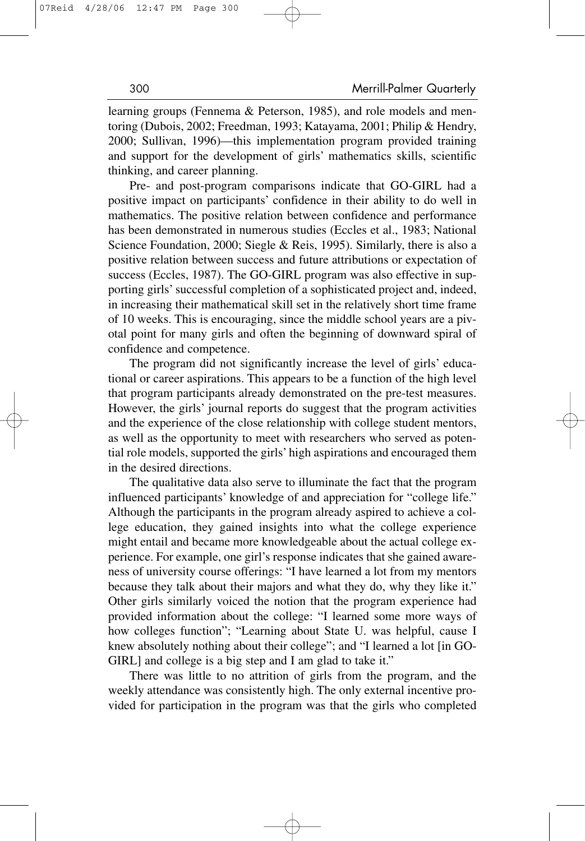learning groups (Fennema & Peterson, 1985), and role models and mentoring (Dubois, 2002; Freedman, 1993; Katayama, 2001; Philip & Hendry, 2000; Sullivan, 1996)—this implementation program provided training and support for the development of girls' mathematics skills, scientific thinking, and career planning.

Pre- and post-program comparisons indicate that GO-GIRL had a positive impact on participants' confidence in their ability to do well in mathematics. The positive relation between confidence and performance has been demonstrated in numerous studies (Eccles et al., 1983; National Science Foundation, 2000; Siegle & Reis, 1995). Similarly, there is also a positive relation between success and future attributions or expectation of success (Eccles, 1987). The GO-GIRL program was also effective in supporting girls' successful completion of a sophisticated project and, indeed, in increasing their mathematical skill set in the relatively short time frame of 10 weeks. This is encouraging, since the middle school years are a pivotal point for many girls and often the beginning of downward spiral of confidence and competence.

The program did not significantly increase the level of girls' educational or career aspirations. This appears to be a function of the high level that program participants already demonstrated on the pre-test measures. However, the girls' journal reports do suggest that the program activities and the experience of the close relationship with college student mentors, as well as the opportunity to meet with researchers who served as potential role models, supported the girls' high aspirations and encouraged them in the desired directions.

The qualitative data also serve to illuminate the fact that the program influenced participants' knowledge of and appreciation for "college life." Although the participants in the program already aspired to achieve a college education, they gained insights into what the college experience might entail and became more knowledgeable about the actual college experience. For example, one girl's response indicates that she gained awareness of university course offerings: "I have learned a lot from my mentors because they talk about their majors and what they do, why they like it." Other girls similarly voiced the notion that the program experience had provided information about the college: "I learned some more ways of how colleges function"; "Learning about State U. was helpful, cause I knew absolutely nothing about their college"; and "I learned a lot [in GO-GIRL] and college is a big step and I am glad to take it."

There was little to no attrition of girls from the program, and the weekly attendance was consistently high. The only external incentive provided for participation in the program was that the girls who completed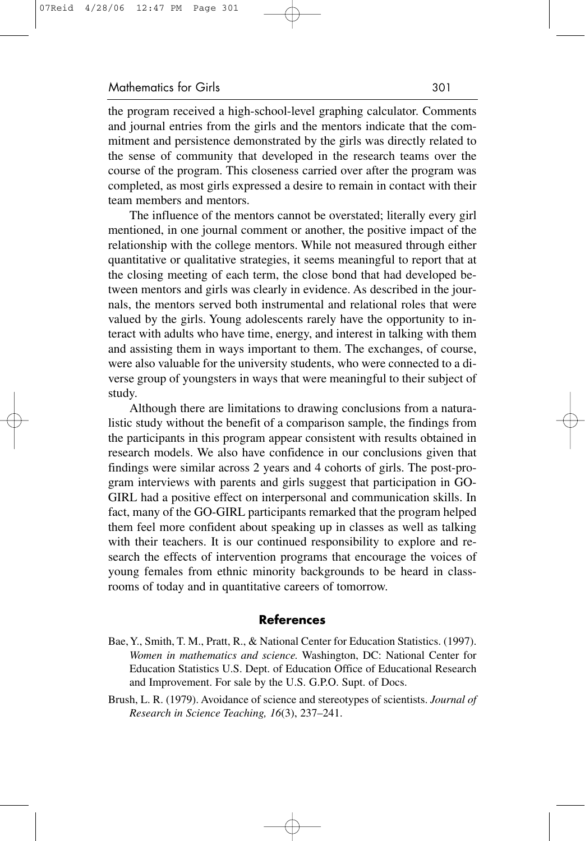the program received a high-school-level graphing calculator. Comments and journal entries from the girls and the mentors indicate that the commitment and persistence demonstrated by the girls was directly related to the sense of community that developed in the research teams over the course of the program. This closeness carried over after the program was completed, as most girls expressed a desire to remain in contact with their team members and mentors.

The influence of the mentors cannot be overstated; literally every girl mentioned, in one journal comment or another, the positive impact of the relationship with the college mentors. While not measured through either quantitative or qualitative strategies, it seems meaningful to report that at the closing meeting of each term, the close bond that had developed between mentors and girls was clearly in evidence. As described in the journals, the mentors served both instrumental and relational roles that were valued by the girls. Young adolescents rarely have the opportunity to interact with adults who have time, energy, and interest in talking with them and assisting them in ways important to them. The exchanges, of course, were also valuable for the university students, who were connected to a diverse group of youngsters in ways that were meaningful to their subject of study.

Although there are limitations to drawing conclusions from a naturalistic study without the benefit of a comparison sample, the findings from the participants in this program appear consistent with results obtained in research models. We also have confidence in our conclusions given that findings were similar across 2 years and 4 cohorts of girls. The post-program interviews with parents and girls suggest that participation in GO-GIRL had a positive effect on interpersonal and communication skills. In fact, many of the GO-GIRL participants remarked that the program helped them feel more confident about speaking up in classes as well as talking with their teachers. It is our continued responsibility to explore and research the effects of intervention programs that encourage the voices of young females from ethnic minority backgrounds to be heard in classrooms of today and in quantitative careers of tomorrow.

#### **References**

- Bae, Y., Smith, T. M., Pratt, R., & National Center for Education Statistics. (1997). *Women in mathematics and science.* Washington, DC: National Center for Education Statistics U.S. Dept. of Education Office of Educational Research and Improvement. For sale by the U.S. G.P.O. Supt. of Docs.
- Brush, L. R. (1979). Avoidance of science and stereotypes of scientists. *Journal of Research in Science Teaching, 16*(3), 237–241.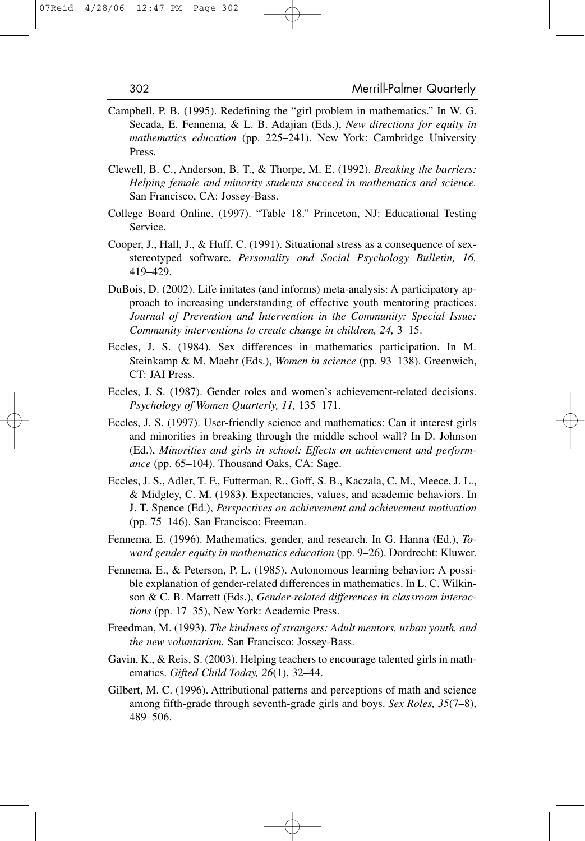- Campbell, P. B. (1995). Redefining the "girl problem in mathematics." In W. G. Secada, E. Fennema, & L. B. Adajian (Eds.), *New directions for equity in mathematics education* (pp. 225–241). New York: Cambridge University Press.
- Clewell, B. C., Anderson, B. T., & Thorpe, M. E. (1992). *Breaking the barriers: Helping female and minority students succeed in mathematics and science.* San Francisco, CA: Jossey-Bass.
- College Board Online. (1997). "Table 18." Princeton, NJ: Educational Testing Service.
- Cooper, J., Hall, J., & Huff, C. (1991). Situational stress as a consequence of sexstereotyped software. *Personality and Social Psychology Bulletin, 16,* 419–429.
- DuBois, D. (2002). Life imitates (and informs) meta-analysis: A participatory approach to increasing understanding of effective youth mentoring practices. *Journal of Prevention and Intervention in the Community: Special Issue: Community interventions to create change in children, 24,* 3–15.
- Eccles, J. S. (1984). Sex differences in mathematics participation. In M. Steinkamp & M. Maehr (Eds.), *Women in science* (pp. 93–138). Greenwich, CT: JAI Press.
- Eccles, J. S. (1987). Gender roles and women's achievement-related decisions. *Psychology of Women Quarterly, 11,* 135–171.
- Eccles, J. S. (1997). User-friendly science and mathematics: Can it interest girls and minorities in breaking through the middle school wall? In D. Johnson (Ed.), *Minorities and girls in school: Effects on achievement and performance* (pp. 65–104). Thousand Oaks, CA: Sage.
- Eccles, J. S., Adler, T. F., Futterman, R., Goff, S. B., Kaczala, C. M., Meece, J. L., & Midgley, C. M. (1983). Expectancies, values, and academic behaviors. In J. T. Spence (Ed.), *Perspectives on achievement and achievement motivation* (pp. 75–146). San Francisco: Freeman.
- Fennema, E. (1996). Mathematics, gender, and research. In G. Hanna (Ed.), *Toward gender equity in mathematics education* (pp. 9–26). Dordrecht: Kluwer.
- Fennema, E., & Peterson, P. L. (1985). Autonomous learning behavior: A possible explanation of gender-related differences in mathematics. In L. C. Wilkinson & C. B. Marrett (Eds.), *Gender-related differences in classroom interactions* (pp. 17–35), New York: Academic Press.
- Freedman, M. (1993). *The kindness of strangers: Adult mentors, urban youth, and the new voluntarism.* San Francisco: Jossey-Bass.
- Gavin, K., & Reis, S. (2003). Helping teachers to encourage talented girls in mathematics. *Gifted Child Today, 26*(1), 32–44.
- Gilbert, M. C. (1996). Attributional patterns and perceptions of math and science among fifth-grade through seventh-grade girls and boys. *Sex Roles, 35*(7–8), 489–506.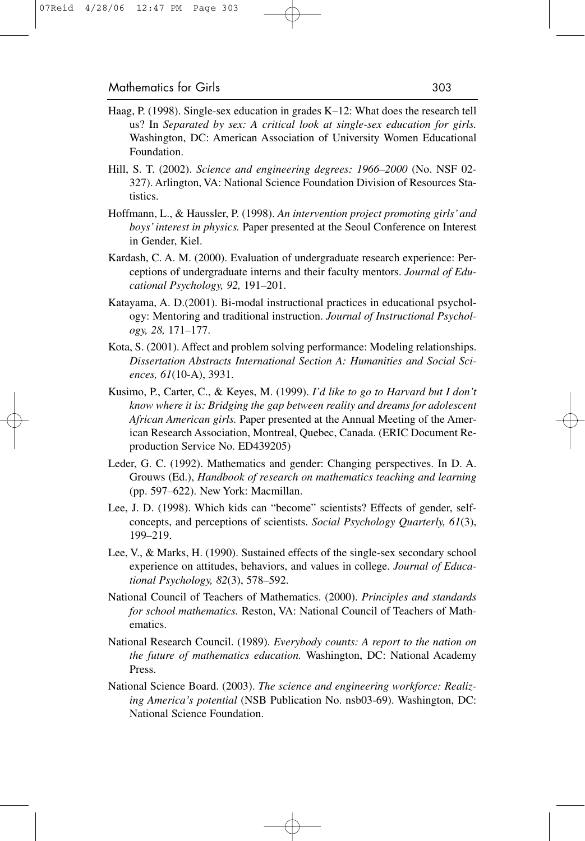- Haag, P. (1998). Single-sex education in grades K–12: What does the research tell us? In *Separated by sex: A critical look at single-sex education for girls.* Washington, DC: American Association of University Women Educational Foundation.
- Hill, S. T. (2002). *Science and engineering degrees: 1966*–*2000* (No. NSF 02- 327). Arlington, VA: National Science Foundation Division of Resources Statistics.
- Hoffmann, L., & Haussler, P. (1998). *An intervention project promoting girls' and boys' interest in physics.* Paper presented at the Seoul Conference on Interest in Gender, Kiel.
- Kardash, C. A. M. (2000). Evaluation of undergraduate research experience: Perceptions of undergraduate interns and their faculty mentors. *Journal of Educational Psychology, 92,* 191–201.
- Katayama, A. D.(2001). Bi-modal instructional practices in educational psychology: Mentoring and traditional instruction. *Journal of Instructional Psychology, 28,* 171–177.
- Kota, S. (2001). Affect and problem solving performance: Modeling relationships. *Dissertation Abstracts International Section A: Humanities and Social Sciences, 61*(10-A), 3931.
- Kusimo, P., Carter, C., & Keyes, M. (1999). *I'd like to go to Harvard but I don't know where it is: Bridging the gap between reality and dreams for adolescent African American girls.* Paper presented at the Annual Meeting of the American Research Association, Montreal, Quebec, Canada. (ERIC Document Reproduction Service No. ED439205)
- Leder, G. C. (1992). Mathematics and gender: Changing perspectives. In D. A. Grouws (Ed.), *Handbook of research on mathematics teaching and learning* (pp. 597–622). New York: Macmillan.
- Lee, J. D. (1998). Which kids can "become" scientists? Effects of gender, selfconcepts, and perceptions of scientists. *Social Psychology Quarterly, 61*(3), 199–219.
- Lee, V., & Marks, H. (1990). Sustained effects of the single-sex secondary school experience on attitudes, behaviors, and values in college. *Journal of Educational Psychology, 82*(3), 578–592.
- National Council of Teachers of Mathematics. (2000). *Principles and standards for school mathematics.* Reston, VA: National Council of Teachers of Mathematics.
- National Research Council. (1989). *Everybody counts: A report to the nation on the future of mathematics education.* Washington, DC: National Academy Press.
- National Science Board. (2003). *The science and engineering workforce: Realizing America's potential* (NSB Publication No. nsb03-69). Washington, DC: National Science Foundation.